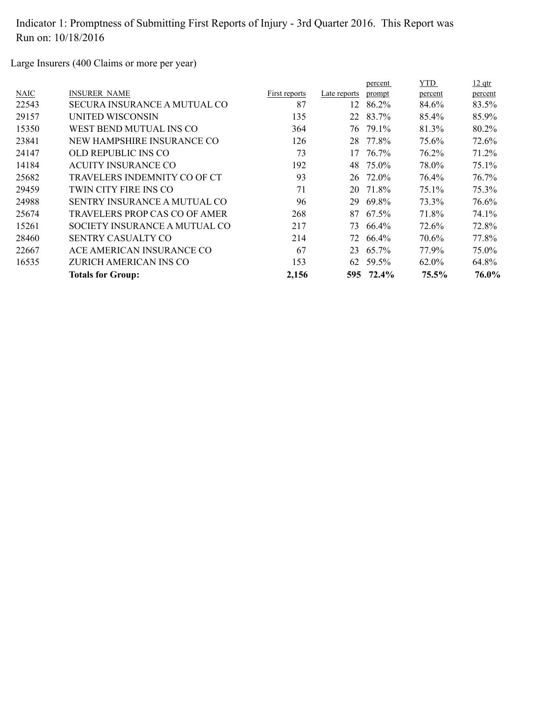Large Insurers (400 Claims or more per year)

|       |                                     |               |              | percent  | <b>YTD</b> | $12$ qtr |
|-------|-------------------------------------|---------------|--------------|----------|------------|----------|
| NAIC  | <b>INSURER NAME</b>                 | First reports | Late reports | prompt   | percent    | percent  |
| 22543 | <b>SECURA INSURANCE A MUTUAL CO</b> | 87            | 12           | 86.2%    | 84.6%      | 83.5%    |
| 29157 | UNITED WISCONSIN                    | 135           |              | 22 83.7% | 85.4%      | 85.9%    |
| 15350 | WEST BEND MUTUAL INS CO             | 364           | 76           | 79.1%    | 81.3%      | 80.2%    |
| 23841 | NEW HAMPSHIRE INSURANCE CO          | 126           | 28           | 77.8%    | 75.6%      | 72.6%    |
| 24147 | OLD REPUBLIC INS CO                 | 73            | 17           | 76.7%    | 76.2%      | 71.2%    |
| 14184 | <b>ACUITY INSURANCE CO</b>          | 192           | 48           | 75.0%    | 78.0%      | 75.1%    |
| 25682 | TRAVELERS INDEMNITY CO OF CT        | 93            | 26           | 72.0%    | 76.4%      | 76.7%    |
| 29459 | TWIN CITY FIRE INS CO               | 71            | 20           | 71.8%    | 75.1%      | 75.3%    |
| 24988 | <b>SENTRY INSURANCE A MUTUAL CO</b> | 96            | 29           | 69.8%    | 73.3%      | 76.6%    |
| 25674 | TRAVELERS PROP CAS CO OF AMER       | 268           | 87           | 67.5%    | 71.8%      | 74.1%    |
| 15261 | SOCIETY INSURANCE A MUTUAL CO       | 217           | 73           | 66.4%    | 72.6%      | 72.8%    |
| 28460 | <b>SENTRY CASUALTY CO</b>           | 214           | 72           | 66.4%    | 70.6%      | 77.8%    |
| 22667 | ACE AMERICAN INSURANCE CO           | 67            | 23           | 65.7%    | 77.9%      | 75.0%    |
| 16535 | ZURICH AMERICAN INS CO              | 153           | 62           | 59.5%    | 62.0%      | 64.8%    |
|       | <b>Totals for Group:</b>            | 2,156         | 595          | 72.4%    | 75.5%      | 76.0%    |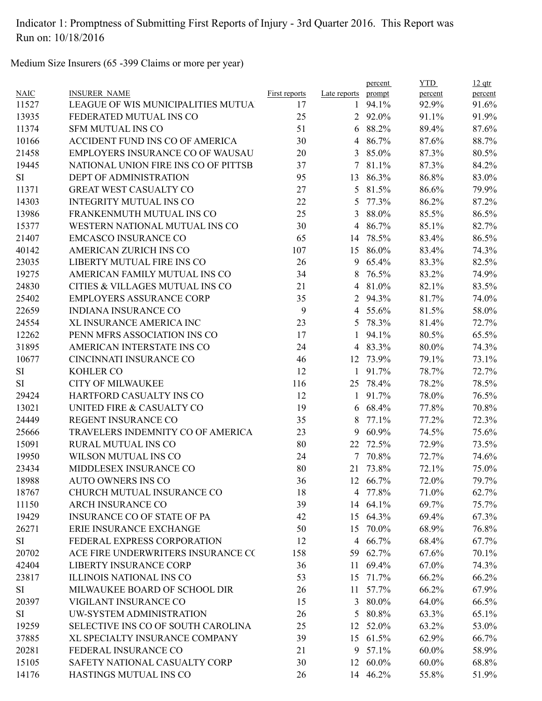Medium Size Insurers (65 -399 Claims or more per year)

|             |                                      |                      |                | percent  | <b>YTD</b> | $12$ qtr |
|-------------|--------------------------------------|----------------------|----------------|----------|------------|----------|
| <b>NAIC</b> | <b>INSURER NAME</b>                  | <b>First reports</b> | Late reports   | prompt   | percent    | percent  |
| 11527       | LEAGUE OF WIS MUNICIPALITIES MUTUA   | 17                   | $\mathbf{1}$   | 94.1%    | 92.9%      | 91.6%    |
| 13935       | FEDERATED MUTUAL INS CO              | 25                   |                | 2 92.0%  | 91.1%      | 91.9%    |
| 11374       | <b>SFM MUTUAL INS CO</b>             | 51                   |                | 6 88.2%  | 89.4%      | 87.6%    |
| 10166       | ACCIDENT FUND INS CO OF AMERICA      | 30                   | $\overline{4}$ | 86.7%    | 87.6%      | 88.7%    |
| 21458       | EMPLOYERS INSURANCE CO OF WAUSAU     | 20                   | $\overline{3}$ | 85.0%    | 87.3%      | 80.5%    |
| 19445       | NATIONAL UNION FIRE INS CO OF PITTSB | 37                   | 7              | 81.1%    | 87.3%      | 84.2%    |
| <b>SI</b>   | <b>DEPT OF ADMINISTRATION</b>        | 95                   | 13             | 86.3%    | 86.8%      | 83.0%    |
| 11371       | <b>GREAT WEST CASUALTY CO</b>        | 27                   | 5              | 81.5%    | 86.6%      | 79.9%    |
| 14303       | <b>INTEGRITY MUTUAL INS CO</b>       | 22                   | 5              | 77.3%    | 86.2%      | 87.2%    |
| 13986       | FRANKENMUTH MUTUAL INS CO            | 25                   | $\mathfrak{Z}$ | 88.0%    | 85.5%      | 86.5%    |
| 15377       | WESTERN NATIONAL MUTUAL INS CO       | 30                   | 4              | 86.7%    | 85.1%      | 82.7%    |
| 21407       | <b>EMCASCO INSURANCE CO</b>          | 65                   | 14             | 78.5%    | 83.4%      | 86.5%    |
| 40142       | AMERICAN ZURICH INS CO               | 107                  | 15             | 86.0%    | 83.4%      | 74.3%    |
| 23035       | LIBERTY MUTUAL FIRE INS CO           | 26                   | 9              | 65.4%    | 83.3%      | 82.5%    |
| 19275       | AMERICAN FAMILY MUTUAL INS CO        | 34                   | 8              | 76.5%    | 83.2%      | 74.9%    |
| 24830       | CITIES & VILLAGES MUTUAL INS CO      | 21                   |                | 4 81.0%  | 82.1%      | 83.5%    |
| 25402       | <b>EMPLOYERS ASSURANCE CORP</b>      | 35                   | $\overline{2}$ | 94.3%    | 81.7%      | 74.0%    |
| 22659       | <b>INDIANA INSURANCE CO</b>          | 9                    |                | 4 55.6%  | 81.5%      | 58.0%    |
| 24554       | XL INSURANCE AMERICA INC             | 23                   | 5              | 78.3%    | 81.4%      | 72.7%    |
| 12262       | PENN MFRS ASSOCIATION INS CO         | 17                   | 1              | 94.1%    | 80.5%      | 65.5%    |
| 31895       | AMERICAN INTERSTATE INS CO           | 24                   | $\overline{4}$ | 83.3%    | 80.0%      | 74.3%    |
| 10677       | CINCINNATI INSURANCE CO              | 46                   | 12             | 73.9%    | 79.1%      | 73.1%    |
| <b>SI</b>   | <b>KOHLER CO</b>                     | 12                   | $\mathbf{1}$   | 91.7%    | 78.7%      | 72.7%    |
| SI          | <b>CITY OF MILWAUKEE</b>             | 116                  | 25             | 78.4%    | 78.2%      | 78.5%    |
| 29424       | HARTFORD CASUALTY INS CO             | 12                   | 1              | 91.7%    | 78.0%      | 76.5%    |
| 13021       | UNITED FIRE & CASUALTY CO            | 19                   | 6              | 68.4%    | 77.8%      | 70.8%    |
| 24449       | REGENT INSURANCE CO                  | 35                   | 8              | 77.1%    | 77.2%      | 72.3%    |
| 25666       | TRAVELERS INDEMNITY CO OF AMERICA    | 23                   | 9              | 60.9%    | 74.5%      | 75.6%    |
| 15091       | <b>RURAL MUTUAL INS CO</b>           | 80                   | 22             | 72.5%    | 72.9%      | 73.5%    |
| 19950       | WILSON MUTUAL INS CO                 | 24                   | 7              | 70.8%    | 72.7%      | 74.6%    |
| 23434       | MIDDLESEX INSURANCE CO               | 80                   | 21             | 73.8%    | 72.1%      | 75.0%    |
| 18988       | <b>AUTO OWNERS INS CO</b>            | 36                   |                | 12 66.7% | 72.0%      | 79.7%    |
| 18767       | CHURCH MUTUAL INSURANCE CO           | 18                   | 4              | 77.8%    | 71.0%      | 62.7%    |
| 11150       | ARCH INSURANCE CO                    | 39                   | 14             | 64.1%    | 69.7%      | 75.7%    |
| 19429       | <b>INSURANCE CO OF STATE OF PA</b>   | 42                   | 15             | 64.3%    | 69.4%      | 67.3%    |
| 26271       | ERIE INSURANCE EXCHANGE              | 50                   | 15             | 70.0%    | 68.9%      | 76.8%    |
| <b>SI</b>   | FEDERAL EXPRESS CORPORATION          | 12                   | 4              | 66.7%    | 68.4%      | 67.7%    |
| 20702       | ACE FIRE UNDERWRITERS INSURANCE CO   | 158                  |                | 59 62.7% | 67.6%      | 70.1%    |
| 42404       | <b>LIBERTY INSURANCE CORP</b>        | 36                   | 11             | 69.4%    | 67.0%      | 74.3%    |
| 23817       | ILLINOIS NATIONAL INS CO             | 53                   | 15             | 71.7%    | 66.2%      | 66.2%    |
| SI          | MILWAUKEE BOARD OF SCHOOL DIR        | 26                   | 11             | 57.7%    | 66.2%      | 67.9%    |
| 20397       | VIGILANT INSURANCE CO                | 15                   | $\mathfrak{Z}$ | 80.0%    | 64.0%      | 66.5%    |
| SI          | UW-SYSTEM ADMINISTRATION             | 26                   | 5              | 80.8%    | 63.3%      | 65.1%    |
| 19259       | SELECTIVE INS CO OF SOUTH CAROLINA   | 25                   | 12             | 52.0%    | 63.2%      | 53.0%    |
| 37885       | XL SPECIALTY INSURANCE COMPANY       | 39                   |                | 15 61.5% | 62.9%      | 66.7%    |
| 20281       | FEDERAL INSURANCE CO                 | 21                   | 9              | 57.1%    | $60.0\%$   | 58.9%    |
| 15105       | SAFETY NATIONAL CASUALTY CORP        | 30                   |                | 12 60.0% | $60.0\%$   | 68.8%    |
|             |                                      |                      |                |          |            |          |
| 14176       | HASTINGS MUTUAL INS CO               | 26                   |                | 14 46.2% | 55.8%      | 51.9%    |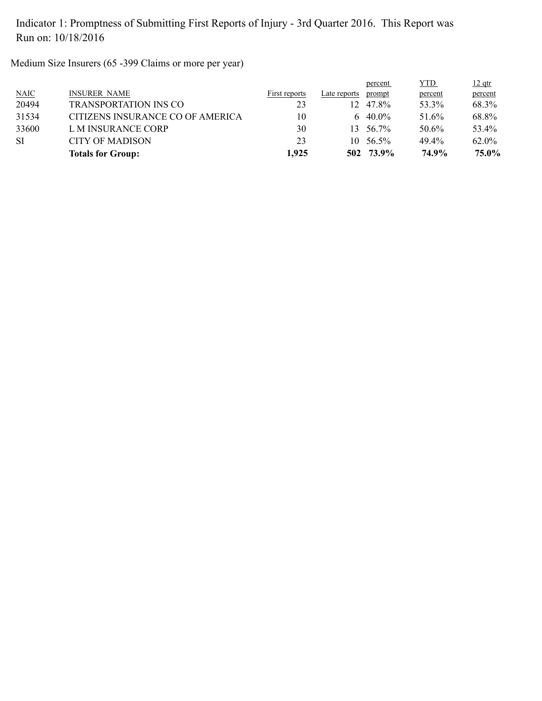Medium Size Insurers (65 -399 Claims or more per year)

|             | <b>Totals for Group:</b>         | 1,925         |                 | 502 73.9%  | 74.9%      | 75.0%         |
|-------------|----------------------------------|---------------|-----------------|------------|------------|---------------|
| <b>SI</b>   | <b>CITY OF MADISON</b>           | 23            | 10.             | 56.5%      | 49.4%      | 62.0%         |
| 33600       | L M INSURANCE CORP               | 30            | 13              | 56.7%      | 50.6%      | 53.4%         |
| 31534       | CITIZENS INSURANCE CO OF AMERICA | 10            |                 | 6 $40.0\%$ | 51.6%      | 68.8%         |
| 20494       | <b>TRANSPORTATION INS CO</b>     | 23            | 12 <sub>1</sub> | 47.8%      | 53.3%      | 68.3%         |
| <b>NAIC</b> | <b>INSURER NAME</b>              | First reports | Late reports    | prompt     | percent    | percent       |
|             |                                  |               |                 | percent    | <b>YTD</b> | <u>12 qtr</u> |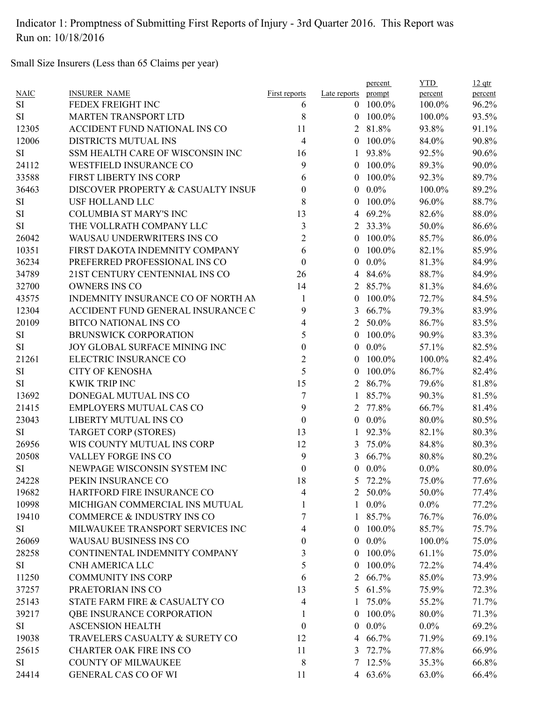Small Size Insurers (Less than 65 Claims per year)

|             |                                    |                      |                | percent        | <b>YTD</b> | $12$ qtr |
|-------------|------------------------------------|----------------------|----------------|----------------|------------|----------|
| <b>NAIC</b> | <b>INSURER NAME</b>                | <b>First reports</b> | Late reports   | prompt         | percent    | percent  |
| <b>SI</b>   | FEDEX FREIGHT INC                  | 6                    | $\overline{0}$ | 100.0%         | 100.0%     | 96.2%    |
| <b>SI</b>   | <b>MARTEN TRANSPORT LTD</b>        | 8                    |                | $0$ 100.0%     | 100.0%     | 93.5%    |
| 12305       | ACCIDENT FUND NATIONAL INS CO      | 11                   |                | 2 81.8%        | 93.8%      | 91.1%    |
| 12006       | DISTRICTS MUTUAL INS               | $\overline{4}$       | $\theta$       | 100.0%         | 84.0%      | 90.8%    |
| <b>SI</b>   | SSM HEALTH CARE OF WISCONSIN INC   | 16                   | 1              | 93.8%          | 92.5%      | 90.6%    |
| 24112       | <b>WESTFIELD INSURANCE CO</b>      | 9                    | $\theta$       | 100.0%         | 89.3%      | 90.0%    |
| 33588       | FIRST LIBERTY INS CORP             | 6                    | $\theta$       | 100.0%         | 92.3%      | 89.7%    |
| 36463       | DISCOVER PROPERTY & CASUALTY INSUF | $\theta$             | $\theta$       | $0.0\%$        | 100.0%     | 89.2%    |
| SI          | USF HOLLAND LLC                    | 8                    | $\theta$       | 100.0%         | 96.0%      | 88.7%    |
| $\rm SI$    | <b>COLUMBIA ST MARY'S INC</b>      | 13                   |                | 4 69.2%        | 82.6%      | 88.0%    |
| SI          | THE VOLLRATH COMPANY LLC           | 3                    |                | 2 33.3%        | 50.0%      | 86.6%    |
| 26042       | WAUSAU UNDERWRITERS INS CO         | $\overline{2}$       | $\theta$       | 100.0%         | 85.7%      | 86.0%    |
| 10351       | FIRST DAKOTA INDEMNITY COMPANY     | 6                    | $\theta$       | 100.0%         | 82.1%      | 85.9%    |
| 36234       | PREFERRED PROFESSIONAL INS CO      | $\boldsymbol{0}$     | $\theta$       | $0.0\%$        | 81.3%      | 84.9%    |
| 34789       | 21ST CENTURY CENTENNIAL INS CO     | 26                   | 4              | 84.6%          | 88.7%      | 84.9%    |
| 32700       | <b>OWNERS INS CO</b>               | 14                   |                | 2 85.7%        | 81.3%      | 84.6%    |
| 43575       | INDEMNITY INSURANCE CO OF NORTH AN | 1                    | $\theta$       | 100.0%         | 72.7%      | 84.5%    |
| 12304       | ACCIDENT FUND GENERAL INSURANCE C  | 9                    | 3              | 66.7%          | 79.3%      | 83.9%    |
| 20109       | <b>BITCO NATIONAL INS CO</b>       | 4                    | 2              | 50.0%          | 86.7%      | 83.5%    |
| SI          | <b>BRUNSWICK CORPORATION</b>       | 5                    | $\theta$       | 100.0%         | 90.9%      | 83.3%    |
| SI          | JOY GLOBAL SURFACE MINING INC      | $\boldsymbol{0}$     | $\overline{0}$ | $0.0\%$        | 57.1%      | 82.5%    |
| 21261       | ELECTRIC INSURANCE CO              | $\overline{2}$       | $\theta$       | 100.0%         | 100.0%     | 82.4%    |
| SI          | <b>CITY OF KENOSHA</b>             | 5                    | $\overline{0}$ | 100.0%         | 86.7%      | 82.4%    |
| SI          | <b>KWIK TRIP INC</b>               | 15                   |                | 2 86.7%        | 79.6%      | 81.8%    |
| 13692       | DONEGAL MUTUAL INS CO              | 7                    |                | 85.7%          | 90.3%      | 81.5%    |
| 21415       | <b>EMPLOYERS MUTUAL CAS CO</b>     | 9                    | 2              | 77.8%          | 66.7%      | 81.4%    |
| 23043       | LIBERTY MUTUAL INS CO              | $\boldsymbol{0}$     | $\overline{0}$ | $0.0\%$        | 80.0%      | 80.5%    |
| <b>SI</b>   |                                    | 13                   |                | 92.3%          | 82.1%      |          |
|             | <b>TARGET CORP (STORES)</b>        |                      | 1              |                |            | 80.3%    |
| 26956       | WIS COUNTY MUTUAL INS CORP         | 12                   | 3              | 75.0%          | 84.8%      | 80.3%    |
| 20508       | VALLEY FORGE INS CO                | 9                    | 3              | 66.7%          | 80.8%      | 80.2%    |
| <b>SI</b>   | NEWPAGE WISCONSIN SYSTEM INC       | 0                    | $\overline{0}$ | $0.0\%$        | $0.0\%$    | 80.0%    |
| 24228       | PEKIN INSURANCE CO                 | 18                   | 5              | 72.2%          | 75.0%      | 77.6%    |
| 19682       | HARTFORD FIRE INSURANCE CO         | 4                    | $\overline{2}$ | 50.0%          | 50.0%      | 77.4%    |
| 10998       | MICHIGAN COMMERCIAL INS MUTUAL     |                      |                | $1\quad 0.0\%$ | $0.0\%$    | 77.2%    |
| 19410       | COMMERCE & INDUSTRY INS CO         | 7                    |                | 1 85.7%        | 76.7%      | 76.0%    |
| SI          | MILWAUKEE TRANSPORT SERVICES INC   | 4                    | $\overline{0}$ | 100.0%         | 85.7%      | 75.7%    |
| 26069       | WAUSAU BUSINESS INS CO             | 0                    | $\overline{0}$ | $0.0\%$        | 100.0%     | 75.0%    |
| 28258       | CONTINENTAL INDEMNITY COMPANY      | 3                    | $\Omega$       | 100.0%         | 61.1%      | 75.0%    |
| SI          | CNH AMERICA LLC                    | 5                    |                | $0$ 100.0%     | 72.2%      | 74.4%    |
| 11250       | <b>COMMUNITY INS CORP</b>          | 6                    | $\overline{2}$ | 66.7%          | 85.0%      | 73.9%    |
| 37257       | PRAETORIAN INS CO                  | 13                   |                | 5 61.5%        | 75.9%      | 72.3%    |
| 25143       | STATE FARM FIRE & CASUALTY CO      | 4                    | 1              | 75.0%          | 55.2%      | 71.7%    |
| 39217       | QBE INSURANCE CORPORATION          | 1                    | $\overline{0}$ | 100.0%         | 80.0%      | 71.3%    |
| <b>SI</b>   | <b>ASCENSION HEALTH</b>            | $\theta$             | $\overline{0}$ | $0.0\%$        | $0.0\%$    | 69.2%    |
| 19038       | TRAVELERS CASUALTY & SURETY CO     | 12                   |                | 4 66.7%        | 71.9%      | 69.1%    |
| 25615       | <b>CHARTER OAK FIRE INS CO</b>     | 11                   |                | 3 72.7%        | 77.8%      | 66.9%    |
| <b>SI</b>   | <b>COUNTY OF MILWAUKEE</b>         | 8                    |                | 7 12.5%        | 35.3%      | 66.8%    |
| 24414       | <b>GENERAL CAS CO OF WI</b>        | 11                   |                | 4 63.6%        | 63.0%      | 66.4%    |